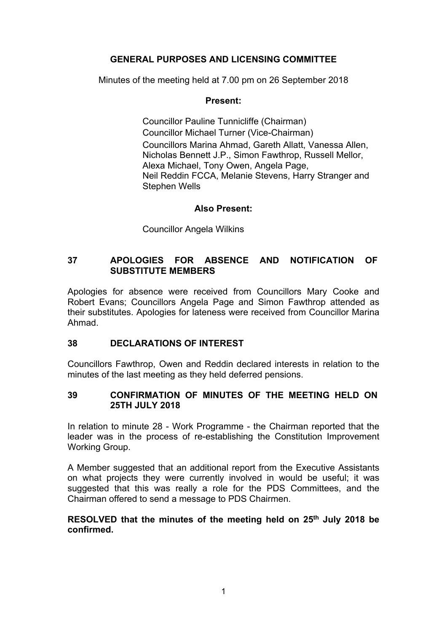# **GENERAL PURPOSES AND LICENSING COMMITTEE**

Minutes of the meeting held at 7.00 pm on 26 September 2018

# **Present:**

Councillor Pauline Tunnicliffe (Chairman) Councillor Michael Turner (Vice-Chairman) Councillors Marina Ahmad, Gareth Allatt, Vanessa Allen, Nicholas Bennett J.P., Simon Fawthrop, Russell Mellor, Alexa Michael, Tony Owen, Angela Page, Neil Reddin FCCA, Melanie Stevens, Harry Stranger and Stephen Wells

# **Also Present:**

Councillor Angela Wilkins

# **37 APOLOGIES FOR ABSENCE AND NOTIFICATION OF SUBSTITUTE MEMBERS**

Apologies for absence were received from Councillors Mary Cooke and Robert Evans; Councillors Angela Page and Simon Fawthrop attended as their substitutes. Apologies for lateness were received from Councillor Marina Ahmad.

# **38 DECLARATIONS OF INTEREST**

Councillors Fawthrop, Owen and Reddin declared interests in relation to the minutes of the last meeting as they held deferred pensions.

# **39 CONFIRMATION OF MINUTES OF THE MEETING HELD ON 25TH JULY 2018**

In relation to minute 28 - Work Programme - the Chairman reported that the leader was in the process of re-establishing the Constitution Improvement Working Group.

A Member suggested that an additional report from the Executive Assistants on what projects they were currently involved in would be useful; it was suggested that this was really a role for the PDS Committees, and the Chairman offered to send a message to PDS Chairmen.

# **RESOLVED that the minutes of the meeting held on 25th July 2018 be confirmed.**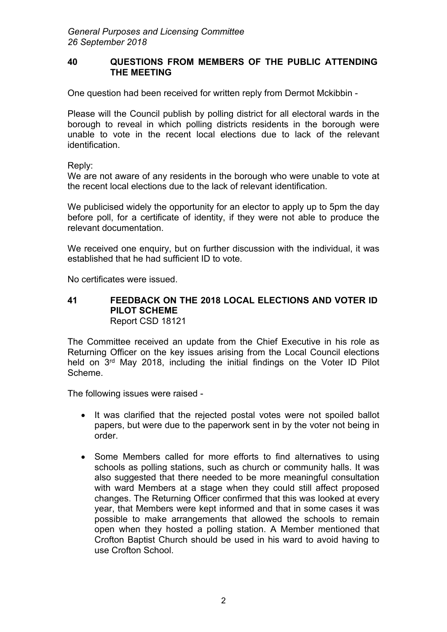### **40 QUESTIONS FROM MEMBERS OF THE PUBLIC ATTENDING THE MEETING**

One question had been received for written reply from Dermot Mckibbin -

Please will the Council publish by polling district for all electoral wards in the borough to reveal in which polling districts residents in the borough were unable to vote in the recent local elections due to lack of the relevant identification.

Reply:

We are not aware of any residents in the borough who were unable to vote at the recent local elections due to the lack of relevant identification.

We publicised widely the opportunity for an elector to apply up to 5pm the day before poll, for a certificate of identity, if they were not able to produce the relevant documentation.

We received one enquiry, but on further discussion with the individual, it was established that he had sufficient ID to vote.

No certificates were issued.

#### **41 FEEDBACK ON THE 2018 LOCAL ELECTIONS AND VOTER ID PILOT SCHEME** Report CSD 18121

The Committee received an update from the Chief Executive in his role as Returning Officer on the key issues arising from the Local Council elections held on 3<sup>rd</sup> May 2018, including the initial findings on the Voter ID Pilot Scheme.

The following issues were raised -

- It was clarified that the rejected postal votes were not spoiled ballot papers, but were due to the paperwork sent in by the voter not being in order.
- Some Members called for more efforts to find alternatives to using schools as polling stations, such as church or community halls. It was also suggested that there needed to be more meaningful consultation with ward Members at a stage when they could still affect proposed changes. The Returning Officer confirmed that this was looked at every year, that Members were kept informed and that in some cases it was possible to make arrangements that allowed the schools to remain open when they hosted a polling station. A Member mentioned that Crofton Baptist Church should be used in his ward to avoid having to use Crofton School.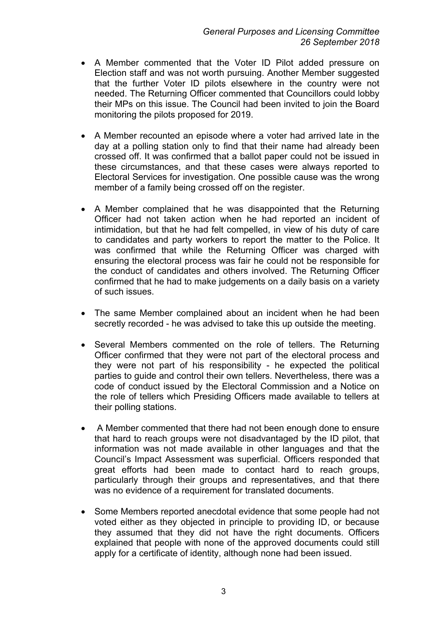- A Member commented that the Voter ID Pilot added pressure on Election staff and was not worth pursuing. Another Member suggested that the further Voter ID pilots elsewhere in the country were not needed. The Returning Officer commented that Councillors could lobby their MPs on this issue. The Council had been invited to join the Board monitoring the pilots proposed for 2019.
- A Member recounted an episode where a voter had arrived late in the day at a polling station only to find that their name had already been crossed off. It was confirmed that a ballot paper could not be issued in these circumstances, and that these cases were always reported to Electoral Services for investigation. One possible cause was the wrong member of a family being crossed off on the register.
- A Member complained that he was disappointed that the Returning Officer had not taken action when he had reported an incident of intimidation, but that he had felt compelled, in view of his duty of care to candidates and party workers to report the matter to the Police. It was confirmed that while the Returning Officer was charged with ensuring the electoral process was fair he could not be responsible for the conduct of candidates and others involved. The Returning Officer confirmed that he had to make judgements on a daily basis on a variety of such issues.
- The same Member complained about an incident when he had been secretly recorded - he was advised to take this up outside the meeting.
- Several Members commented on the role of tellers. The Returning Officer confirmed that they were not part of the electoral process and they were not part of his responsibility - he expected the political parties to guide and control their own tellers. Nevertheless, there was a code of conduct issued by the Electoral Commission and a Notice on the role of tellers which Presiding Officers made available to tellers at their polling stations.
- A Member commented that there had not been enough done to ensure that hard to reach groups were not disadvantaged by the ID pilot, that information was not made available in other languages and that the Council's Impact Assessment was superficial. Officers responded that great efforts had been made to contact hard to reach groups, particularly through their groups and representatives, and that there was no evidence of a requirement for translated documents.
- Some Members reported anecdotal evidence that some people had not voted either as they objected in principle to providing ID, or because they assumed that they did not have the right documents. Officers explained that people with none of the approved documents could still apply for a certificate of identity, although none had been issued.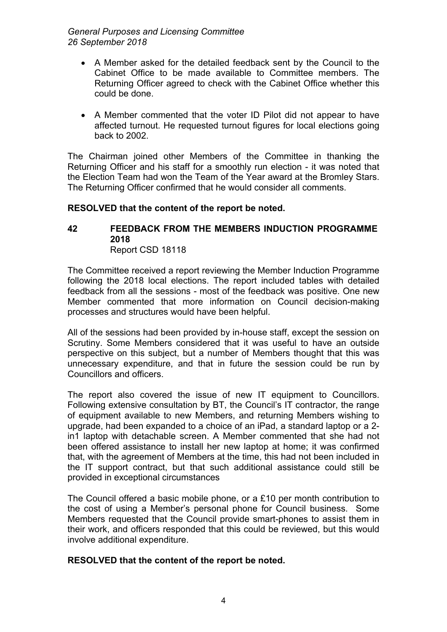*General Purposes and Licensing Committee 26 September 2018*

- A Member asked for the detailed feedback sent by the Council to the Cabinet Office to be made available to Committee members. The Returning Officer agreed to check with the Cabinet Office whether this could be done.
- A Member commented that the voter ID Pilot did not appear to have affected turnout. He requested turnout figures for local elections going back to 2002.

The Chairman joined other Members of the Committee in thanking the Returning Officer and his staff for a smoothly run election - it was noted that the Election Team had won the Team of the Year award at the Bromley Stars. The Returning Officer confirmed that he would consider all comments.

#### **RESOLVED that the content of the report be noted.**

#### **42 FEEDBACK FROM THE MEMBERS INDUCTION PROGRAMME 2018** Report CSD 18118

The Committee received a report reviewing the Member Induction Programme following the 2018 local elections. The report included tables with detailed feedback from all the sessions - most of the feedback was positive. One new Member commented that more information on Council decision-making processes and structures would have been helpful.

All of the sessions had been provided by in-house staff, except the session on Scrutiny. Some Members considered that it was useful to have an outside perspective on this subject, but a number of Members thought that this was unnecessary expenditure, and that in future the session could be run by Councillors and officers.

The report also covered the issue of new IT equipment to Councillors. Following extensive consultation by BT, the Council's IT contractor, the range of equipment available to new Members, and returning Members wishing to upgrade, had been expanded to a choice of an iPad, a standard laptop or a 2 in1 laptop with detachable screen. A Member commented that she had not been offered assistance to install her new laptop at home; it was confirmed that, with the agreement of Members at the time, this had not been included in the IT support contract, but that such additional assistance could still be provided in exceptional circumstances

The Council offered a basic mobile phone, or a £10 per month contribution to the cost of using a Member's personal phone for Council business. Some Members requested that the Council provide smart-phones to assist them in their work, and officers responded that this could be reviewed, but this would involve additional expenditure.

# **RESOLVED that the content of the report be noted.**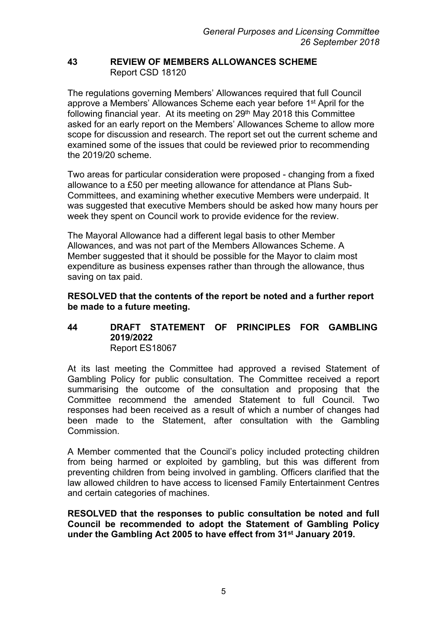### **43 REVIEW OF MEMBERS ALLOWANCES SCHEME** Report CSD 18120

The regulations governing Members' Allowances required that full Council approve a Members' Allowances Scheme each year before 1<sup>st</sup> April for the following financial year. At its meeting on 29<sup>th</sup> May 2018 this Committee asked for an early report on the Members' Allowances Scheme to allow more scope for discussion and research. The report set out the current scheme and examined some of the issues that could be reviewed prior to recommending the 2019/20 scheme.

Two areas for particular consideration were proposed - changing from a fixed allowance to a £50 per meeting allowance for attendance at Plans Sub-Committees, and examining whether executive Members were underpaid. It was suggested that executive Members should be asked how many hours per week they spent on Council work to provide evidence for the review.

The Mayoral Allowance had a different legal basis to other Member Allowances, and was not part of the Members Allowances Scheme. A Member suggested that it should be possible for the Mayor to claim most expenditure as business expenses rather than through the allowance, thus saving on tax paid.

### **RESOLVED that the contents of the report be noted and a further report be made to a future meeting.**

# **44 DRAFT STATEMENT OF PRINCIPLES FOR GAMBLING 2019/2022** Report ES18067

At its last meeting the Committee had approved a revised Statement of Gambling Policy for public consultation. The Committee received a report summarising the outcome of the consultation and proposing that the Committee recommend the amended Statement to full Council. Two responses had been received as a result of which a number of changes had been made to the Statement, after consultation with the Gambling Commission.

A Member commented that the Council's policy included protecting children from being harmed or exploited by gambling, but this was different from preventing children from being involved in gambling. Officers clarified that the law allowed children to have access to licensed Family Entertainment Centres and certain categories of machines.

**RESOLVED that the responses to public consultation be noted and full Council be recommended to adopt the Statement of Gambling Policy under the Gambling Act 2005 to have effect from 31st January 2019.**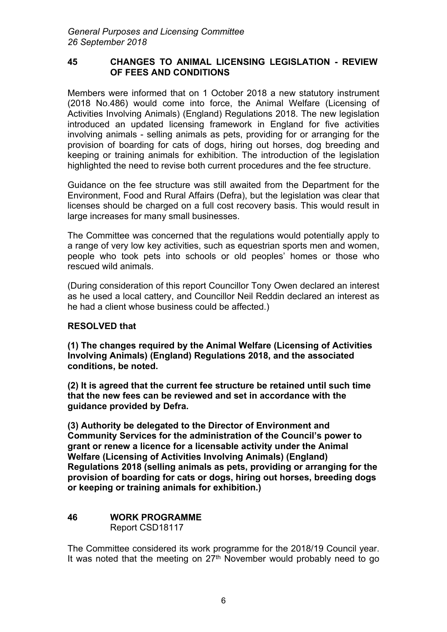### **45 CHANGES TO ANIMAL LICENSING LEGISLATION - REVIEW OF FEES AND CONDITIONS**

Members were informed that on 1 October 2018 a new statutory instrument (2018 No.486) would come into force, the Animal Welfare (Licensing of Activities Involving Animals) (England) Regulations 2018. The new legislation introduced an updated licensing framework in England for five activities involving animals - selling animals as pets, providing for or arranging for the provision of boarding for cats of dogs, hiring out horses, dog breeding and keeping or training animals for exhibition. The introduction of the legislation highlighted the need to revise both current procedures and the fee structure.

Guidance on the fee structure was still awaited from the Department for the Environment, Food and Rural Affairs (Defra), but the legislation was clear that licenses should be charged on a full cost recovery basis. This would result in large increases for many small businesses.

The Committee was concerned that the regulations would potentially apply to a range of very low key activities, such as equestrian sports men and women, people who took pets into schools or old peoples' homes or those who rescued wild animals.

(During consideration of this report Councillor Tony Owen declared an interest as he used a local cattery, and Councillor Neil Reddin declared an interest as he had a client whose business could be affected.)

# **RESOLVED that**

**(1) The changes required by the Animal Welfare (Licensing of Activities Involving Animals) (England) Regulations 2018, and the associated conditions, be noted.**

**(2) It is agreed that the current fee structure be retained until such time that the new fees can be reviewed and set in accordance with the guidance provided by Defra.**

**(3) Authority be delegated to the Director of Environment and Community Services for the administration of the Council's power to grant or renew a licence for a licensable activity under the Animal Welfare (Licensing of Activities Involving Animals) (England) Regulations 2018 (selling animals as pets, providing or arranging for the provision of boarding for cats or dogs, hiring out horses, breeding dogs or keeping or training animals for exhibition.)**

# **46 WORK PROGRAMME** Report CSD18117

The Committee considered its work programme for the 2018/19 Council year. It was noted that the meeting on  $27<sup>th</sup>$  November would probably need to go